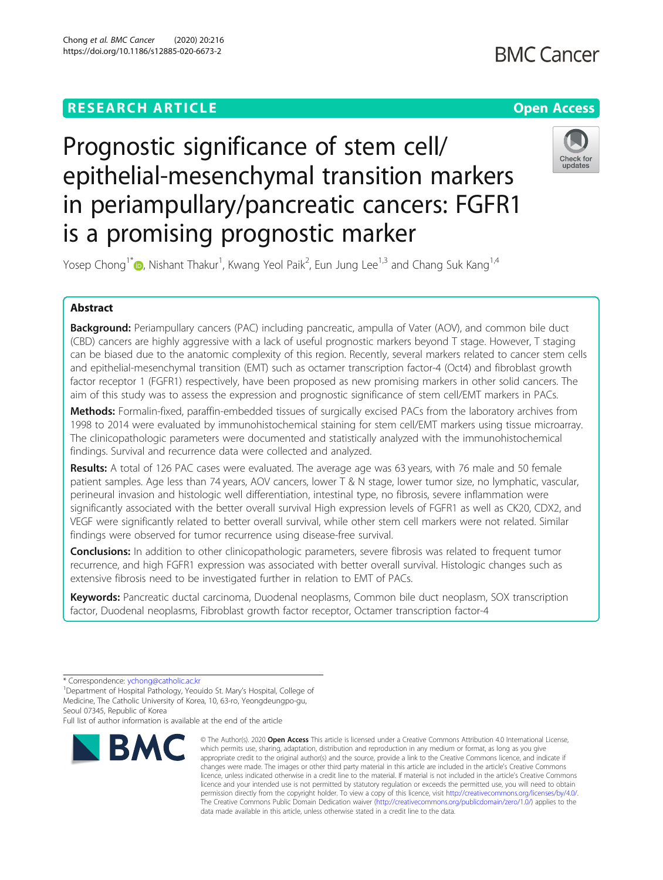# **RESEARCH ARTICLE Example 2014 12:30 The Contract of Contract ACCESS**

# **BMC Cancer**

# Prognostic significance of stem cell/ epithelial-mesenchymal transition markers in periampullary/pancreatic cancers: FGFR1 is a promising prognostic marker



Yosep Chong<sup>1\*</sup> (**b**[,](http://orcid.org/0000-0001-8615-3064) Nishant Thakur<sup>1</sup>, Kwang Yeol Paik<sup>2</sup>, Eun Jung Lee<sup>1,3</sup> and Chang Suk Kang<sup>1,4</sup>

# Abstract

Background: Periampullary cancers (PAC) including pancreatic, ampulla of Vater (AOV), and common bile duct (CBD) cancers are highly aggressive with a lack of useful prognostic markers beyond T stage. However, T staging can be biased due to the anatomic complexity of this region. Recently, several markers related to cancer stem cells and epithelial-mesenchymal transition (EMT) such as octamer transcription factor-4 (Oct4) and fibroblast growth factor receptor 1 (FGFR1) respectively, have been proposed as new promising markers in other solid cancers. The aim of this study was to assess the expression and prognostic significance of stem cell/EMT markers in PACs.

Methods: Formalin-fixed, paraffin-embedded tissues of surgically excised PACs from the laboratory archives from 1998 to 2014 were evaluated by immunohistochemical staining for stem cell/EMT markers using tissue microarray. The clinicopathologic parameters were documented and statistically analyzed with the immunohistochemical findings. Survival and recurrence data were collected and analyzed.

Results: A total of 126 PAC cases were evaluated. The average age was 63 years, with 76 male and 50 female patient samples. Age less than 74 years, AOV cancers, lower T & N stage, lower tumor size, no lymphatic, vascular, perineural invasion and histologic well differentiation, intestinal type, no fibrosis, severe inflammation were significantly associated with the better overall survival High expression levels of FGFR1 as well as CK20, CDX2, and VEGF were significantly related to better overall survival, while other stem cell markers were not related. Similar findings were observed for tumor recurrence using disease-free survival.

**Conclusions:** In addition to other clinicopathologic parameters, severe fibrosis was related to frequent tumor recurrence, and high FGFR1 expression was associated with better overall survival. Histologic changes such as extensive fibrosis need to be investigated further in relation to EMT of PACs.

Keywords: Pancreatic ductal carcinoma, Duodenal neoplasms, Common bile duct neoplasm, SOX transcription factor, Duodenal neoplasms, Fibroblast growth factor receptor, Octamer transcription factor-4

Full list of author information is available at the end of the article



<sup>©</sup> The Author(s), 2020 **Open Access** This article is licensed under a Creative Commons Attribution 4.0 International License, which permits use, sharing, adaptation, distribution and reproduction in any medium or format, as long as you give appropriate credit to the original author(s) and the source, provide a link to the Creative Commons licence, and indicate if changes were made. The images or other third party material in this article are included in the article's Creative Commons licence, unless indicated otherwise in a credit line to the material. If material is not included in the article's Creative Commons licence and your intended use is not permitted by statutory regulation or exceeds the permitted use, you will need to obtain permission directly from the copyright holder. To view a copy of this licence, visit [http://creativecommons.org/licenses/by/4.0/.](http://creativecommons.org/licenses/by/4.0/) The Creative Commons Public Domain Dedication waiver [\(http://creativecommons.org/publicdomain/zero/1.0/](http://creativecommons.org/publicdomain/zero/1.0/)) applies to the data made available in this article, unless otherwise stated in a credit line to the data.

<sup>\*</sup> Correspondence: [ychong@catholic.ac.kr](mailto:ychong@catholic.ac.kr) <sup>1</sup>

<sup>&</sup>lt;sup>1</sup>Department of Hospital Pathology, Yeouido St. Mary's Hospital, College of Medicine, The Catholic University of Korea, 10, 63-ro, Yeongdeungpo-gu, Seoul 07345, Republic of Korea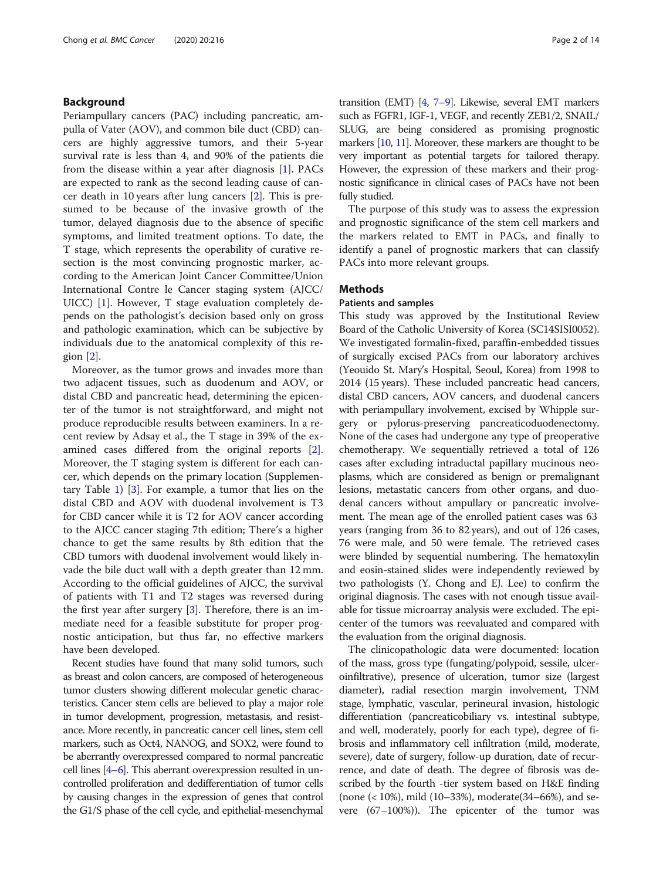# Background

Periampullary cancers (PAC) including pancreatic, ampulla of Vater (AOV), and common bile duct (CBD) cancers are highly aggressive tumors, and their 5-year survival rate is less than 4, and 90% of the patients die from the disease within a year after diagnosis [[1\]](#page-13-0). PACs are expected to rank as the second leading cause of cancer death in 10 years after lung cancers [[2\]](#page-13-0). This is presumed to be because of the invasive growth of the tumor, delayed diagnosis due to the absence of specific symptoms, and limited treatment options. To date, the T stage, which represents the operability of curative resection is the most convincing prognostic marker, according to the American Joint Cancer Committee/Union International Contre le Cancer staging system (AJCC/ UICC) [[1\]](#page-13-0). However, T stage evaluation completely depends on the pathologist's decision based only on gross and pathologic examination, which can be subjective by individuals due to the anatomical complexity of this region  $[2]$  $[2]$  $[2]$ .

Moreover, as the tumor grows and invades more than two adjacent tissues, such as duodenum and AOV, or distal CBD and pancreatic head, determining the epicenter of the tumor is not straightforward, and might not produce reproducible results between examiners. In a recent review by Adsay et al., the T stage in 39% of the examined cases differed from the original reports [\[2](#page-13-0)]. Moreover, the T staging system is different for each cancer, which depends on the primary location (Supplementary Table [1\)](#page-12-0) [[3\]](#page-13-0). For example, a tumor that lies on the distal CBD and AOV with duodenal involvement is T3 for CBD cancer while it is T2 for AOV cancer according to the AJCC cancer staging 7th edition; There's a higher chance to get the same results by 8th edition that the CBD tumors with duodenal involvement would likely invade the bile duct wall with a depth greater than 12 mm. According to the official guidelines of AJCC, the survival of patients with T1 and T2 stages was reversed during the first year after surgery  $[3]$  $[3]$ . Therefore, there is an immediate need for a feasible substitute for proper prognostic anticipation, but thus far, no effective markers have been developed.

Recent studies have found that many solid tumors, such as breast and colon cancers, are composed of heterogeneous tumor clusters showing different molecular genetic characteristics. Cancer stem cells are believed to play a major role in tumor development, progression, metastasis, and resistance. More recently, in pancreatic cancer cell lines, stem cell markers, such as Oct4, NANOG, and SOX2, were found to be aberrantly overexpressed compared to normal pancreatic cell lines [[4](#page-13-0)–[6](#page-13-0)]. This aberrant overexpression resulted in uncontrolled proliferation and dedifferentiation of tumor cells by causing changes in the expression of genes that control the G1/S phase of the cell cycle, and epithelial-mesenchymal transition (EMT) [\[4,](#page-13-0) [7](#page-13-0)–[9\]](#page-13-0). Likewise, several EMT markers such as FGFR1, IGF-1, VEGF, and recently ZEB1/2, SNAIL/ SLUG, are being considered as promising prognostic markers [[10,](#page-13-0) [11\]](#page-13-0). Moreover, these markers are thought to be very important as potential targets for tailored therapy. However, the expression of these markers and their prognostic significance in clinical cases of PACs have not been fully studied.

The purpose of this study was to assess the expression and prognostic significance of the stem cell markers and the markers related to EMT in PACs, and finally to identify a panel of prognostic markers that can classify PACs into more relevant groups.

# **Methods**

# Patients and samples

This study was approved by the Institutional Review Board of the Catholic University of Korea (SC14SISI0052). We investigated formalin-fixed, paraffin-embedded tissues of surgically excised PACs from our laboratory archives (Yeouido St. Mary's Hospital, Seoul, Korea) from 1998 to 2014 (15 years). These included pancreatic head cancers, distal CBD cancers, AOV cancers, and duodenal cancers with periampullary involvement, excised by Whipple surgery or pylorus-preserving pancreaticoduodenectomy. None of the cases had undergone any type of preoperative chemotherapy. We sequentially retrieved a total of 126 cases after excluding intraductal papillary mucinous neoplasms, which are considered as benign or premalignant lesions, metastatic cancers from other organs, and duodenal cancers without ampullary or pancreatic involvement. The mean age of the enrolled patient cases was 63 years (ranging from 36 to 82 years), and out of 126 cases, 76 were male, and 50 were female. The retrieved cases were blinded by sequential numbering. The hematoxylin and eosin-stained slides were independently reviewed by two pathologists (Y. Chong and EJ. Lee) to confirm the original diagnosis. The cases with not enough tissue available for tissue microarray analysis were excluded. The epicenter of the tumors was reevaluated and compared with the evaluation from the original diagnosis.

The clinicopathologic data were documented: location of the mass, gross type (fungating/polypoid, sessile, ulceroinfiltrative), presence of ulceration, tumor size (largest diameter), radial resection margin involvement, TNM stage, lymphatic, vascular, perineural invasion, histologic differentiation (pancreaticobiliary vs. intestinal subtype, and well, moderately, poorly for each type), degree of fibrosis and inflammatory cell infiltration (mild, moderate, severe), date of surgery, follow-up duration, date of recurrence, and date of death. The degree of fibrosis was described by the fourth -tier system based on H&E finding (none (< 10%), mild (10–33%), moderate(34–66%), and severe (67–100%)). The epicenter of the tumor was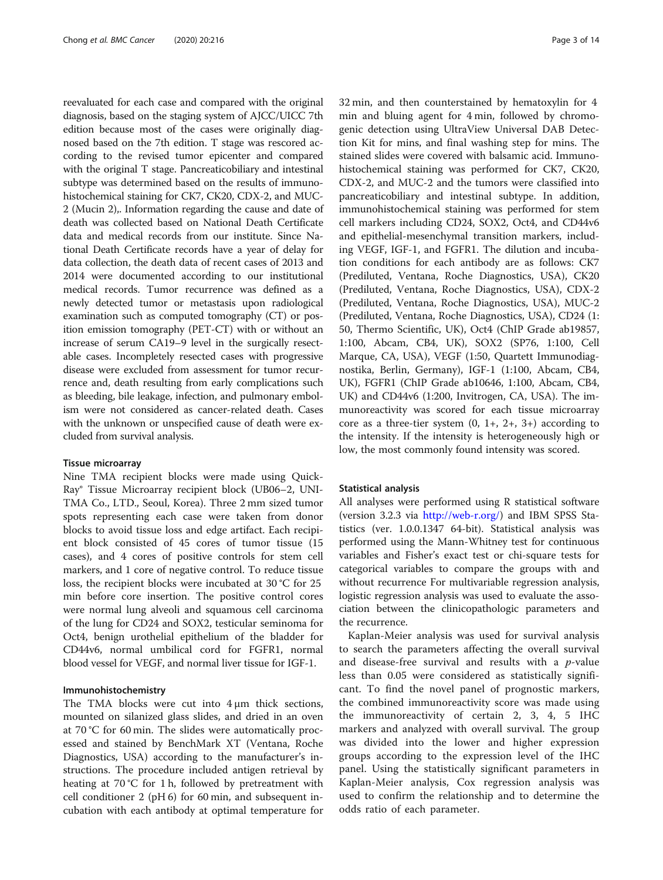reevaluated for each case and compared with the original diagnosis, based on the staging system of AJCC/UICC 7th edition because most of the cases were originally diagnosed based on the 7th edition. T stage was rescored according to the revised tumor epicenter and compared with the original T stage. Pancreaticobiliary and intestinal subtype was determined based on the results of immunohistochemical staining for CK7, CK20, CDX-2, and MUC-2 (Mucin 2),. Information regarding the cause and date of death was collected based on National Death Certificate data and medical records from our institute. Since National Death Certificate records have a year of delay for data collection, the death data of recent cases of 2013 and 2014 were documented according to our institutional medical records. Tumor recurrence was defined as a newly detected tumor or metastasis upon radiological examination such as computed tomography (CT) or position emission tomography (PET-CT) with or without an increase of serum CA19–9 level in the surgically resectable cases. Incompletely resected cases with progressive disease were excluded from assessment for tumor recurrence and, death resulting from early complications such as bleeding, bile leakage, infection, and pulmonary embolism were not considered as cancer-related death. Cases with the unknown or unspecified cause of death were excluded from survival analysis.

# Tissue microarray

Nine TMA recipient blocks were made using Quick-Ray® Tissue Microarray recipient block (UB06–2, UNI-TMA Co., LTD., Seoul, Korea). Three 2 mm sized tumor spots representing each case were taken from donor blocks to avoid tissue loss and edge artifact. Each recipient block consisted of 45 cores of tumor tissue (15 cases), and 4 cores of positive controls for stem cell markers, and 1 core of negative control. To reduce tissue loss, the recipient blocks were incubated at 30 °C for 25 min before core insertion. The positive control cores were normal lung alveoli and squamous cell carcinoma of the lung for CD24 and SOX2, testicular seminoma for Oct4, benign urothelial epithelium of the bladder for CD44v6, normal umbilical cord for FGFR1, normal blood vessel for VEGF, and normal liver tissue for IGF-1.

# Immunohistochemistry

The TMA blocks were cut into  $4 \mu m$  thick sections, mounted on silanized glass slides, and dried in an oven at 70 °C for 60 min. The slides were automatically processed and stained by BenchMark XT (Ventana, Roche Diagnostics, USA) according to the manufacturer's instructions. The procedure included antigen retrieval by heating at 70 °C for 1 h, followed by pretreatment with cell conditioner 2 (pH 6) for 60 min, and subsequent incubation with each antibody at optimal temperature for 32 min, and then counterstained by hematoxylin for 4 min and bluing agent for 4 min, followed by chromogenic detection using UltraView Universal DAB Detection Kit for mins, and final washing step for mins. The stained slides were covered with balsamic acid. Immunohistochemical staining was performed for CK7, CK20, CDX-2, and MUC-2 and the tumors were classified into pancreaticobiliary and intestinal subtype. In addition, immunohistochemical staining was performed for stem cell markers including CD24, SOX2, Oct4, and CD44v6 and epithelial-mesenchymal transition markers, including VEGF, IGF-1, and FGFR1. The dilution and incubation conditions for each antibody are as follows: CK7 (Prediluted, Ventana, Roche Diagnostics, USA), CK20 (Prediluted, Ventana, Roche Diagnostics, USA), CDX-2 (Prediluted, Ventana, Roche Diagnostics, USA), MUC-2 (Prediluted, Ventana, Roche Diagnostics, USA), CD24 (1: 50, Thermo Scientific, UK), Oct4 (ChIP Grade ab19857, 1:100, Abcam, CB4, UK), SOX2 (SP76, 1:100, Cell Marque, CA, USA), VEGF (1:50, Quartett Immunodiagnostika, Berlin, Germany), IGF-1 (1:100, Abcam, CB4, UK), FGFR1 (ChIP Grade ab10646, 1:100, Abcam, CB4, UK) and CD44v6 (1:200, Invitrogen, CA, USA). The immunoreactivity was scored for each tissue microarray core as a three-tier system  $(0, 1+, 2+, 3+)$  according to the intensity. If the intensity is heterogeneously high or low, the most commonly found intensity was scored.

#### Statistical analysis

All analyses were performed using R statistical software (version 3.2.3 via <http://web-r.org/>) and IBM SPSS Statistics (ver. 1.0.0.1347 64-bit). Statistical analysis was performed using the Mann-Whitney test for continuous variables and Fisher's exact test or chi-square tests for categorical variables to compare the groups with and without recurrence For multivariable regression analysis, logistic regression analysis was used to evaluate the association between the clinicopathologic parameters and the recurrence.

Kaplan-Meier analysis was used for survival analysis to search the parameters affecting the overall survival and disease-free survival and results with a  $p$ -value less than 0.05 were considered as statistically significant. To find the novel panel of prognostic markers, the combined immunoreactivity score was made using the immunoreactivity of certain 2, 3, 4, 5 IHC markers and analyzed with overall survival. The group was divided into the lower and higher expression groups according to the expression level of the IHC panel. Using the statistically significant parameters in Kaplan-Meier analysis, Cox regression analysis was used to confirm the relationship and to determine the odds ratio of each parameter.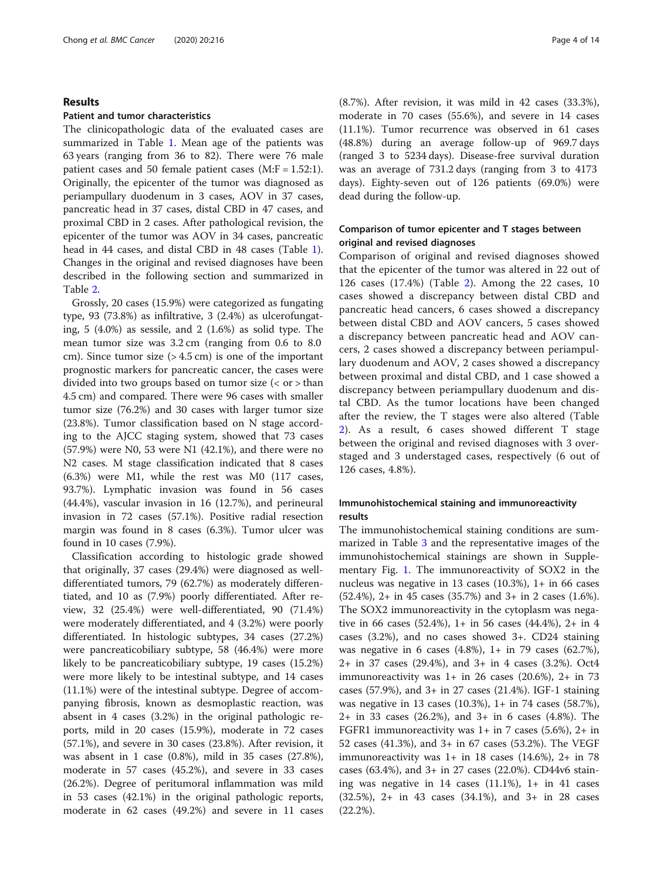# Results

# Patient and tumor characteristics

The clinicopathologic data of the evaluated cases are summarized in Table [1](#page-4-0). Mean age of the patients was 63 years (ranging from 36 to 82). There were 76 male patient cases and 50 female patient cases  $(M:F = 1.52:1)$ . Originally, the epicenter of the tumor was diagnosed as periampullary duodenum in 3 cases, AOV in 37 cases, pancreatic head in 37 cases, distal CBD in 47 cases, and proximal CBD in 2 cases. After pathological revision, the epicenter of the tumor was AOV in 34 cases, pancreatic head in 44 cases, and distal CBD in 48 cases (Table [1](#page-4-0)). Changes in the original and revised diagnoses have been described in the following section and summarized in Table [2.](#page-5-0)

Grossly, 20 cases (15.9%) were categorized as fungating type, 93 (73.8%) as infiltrative, 3 (2.4%) as ulcerofungating, 5 (4.0%) as sessile, and 2 (1.6%) as solid type. The mean tumor size was 3.2 cm (ranging from 0.6 to 8.0 cm). Since tumor size  $(> 4.5 \text{ cm})$  is one of the important prognostic markers for pancreatic cancer, the cases were divided into two groups based on tumor size (< or > than 4.5 cm) and compared. There were 96 cases with smaller tumor size (76.2%) and 30 cases with larger tumor size (23.8%). Tumor classification based on N stage according to the AJCC staging system, showed that 73 cases (57.9%) were N0, 53 were N1 (42.1%), and there were no N2 cases. M stage classification indicated that 8 cases (6.3%) were M1, while the rest was M0 (117 cases, 93.7%). Lymphatic invasion was found in 56 cases (44.4%), vascular invasion in 16 (12.7%), and perineural invasion in 72 cases (57.1%). Positive radial resection margin was found in 8 cases (6.3%). Tumor ulcer was found in 10 cases (7.9%).

Classification according to histologic grade showed that originally, 37 cases (29.4%) were diagnosed as welldifferentiated tumors, 79 (62.7%) as moderately differentiated, and 10 as (7.9%) poorly differentiated. After review, 32 (25.4%) were well-differentiated, 90 (71.4%) were moderately differentiated, and 4 (3.2%) were poorly differentiated. In histologic subtypes, 34 cases (27.2%) were pancreaticobiliary subtype, 58 (46.4%) were more likely to be pancreaticobiliary subtype, 19 cases (15.2%) were more likely to be intestinal subtype, and 14 cases (11.1%) were of the intestinal subtype. Degree of accompanying fibrosis, known as desmoplastic reaction, was absent in 4 cases (3.2%) in the original pathologic reports, mild in 20 cases (15.9%), moderate in 72 cases (57.1%), and severe in 30 cases (23.8%). After revision, it was absent in 1 case (0.8%), mild in 35 cases (27.8%), moderate in 57 cases (45.2%), and severe in 33 cases (26.2%). Degree of peritumoral inflammation was mild in 53 cases (42.1%) in the original pathologic reports, moderate in 62 cases (49.2%) and severe in 11 cases

(8.7%). After revision, it was mild in 42 cases (33.3%), moderate in 70 cases (55.6%), and severe in 14 cases (11.1%). Tumor recurrence was observed in 61 cases (48.8%) during an average follow-up of 969.7 days (ranged 3 to 5234 days). Disease-free survival duration was an average of 731.2 days (ranging from 3 to 4173 days). Eighty-seven out of 126 patients (69.0%) were dead during the follow-up.

# Comparison of tumor epicenter and T stages between original and revised diagnoses

Comparison of original and revised diagnoses showed that the epicenter of the tumor was altered in 22 out of 126 cases (17.4%) (Table [2](#page-5-0)). Among the 22 cases, 10 cases showed a discrepancy between distal CBD and pancreatic head cancers, 6 cases showed a discrepancy between distal CBD and AOV cancers, 5 cases showed a discrepancy between pancreatic head and AOV cancers, 2 cases showed a discrepancy between periampullary duodenum and AOV, 2 cases showed a discrepancy between proximal and distal CBD, and 1 case showed a discrepancy between periampullary duodenum and distal CBD. As the tumor locations have been changed after the review, the T stages were also altered (Table [2\)](#page-5-0). As a result, 6 cases showed different T stage between the original and revised diagnoses with 3 overstaged and 3 understaged cases, respectively (6 out of 126 cases, 4.8%).

# Immunohistochemical staining and immunoreactivity results

The immunohistochemical staining conditions are summarized in Table [3](#page-6-0) and the representative images of the immunohistochemical stainings are shown in Supplementary Fig. [1](#page-12-0). The immunoreactivity of SOX2 in the nucleus was negative in 13 cases (10.3%), 1+ in 66 cases (52.4%), 2+ in 45 cases (35.7%) and 3+ in 2 cases (1.6%). The SOX2 immunoreactivity in the cytoplasm was negative in 66 cases (52.4%), 1+ in 56 cases (44.4%), 2+ in 4 cases (3.2%), and no cases showed 3+. CD24 staining was negative in 6 cases (4.8%), 1+ in 79 cases (62.7%), 2+ in 37 cases (29.4%), and 3+ in 4 cases (3.2%). Oct4 immunoreactivity was  $1+$  in 26 cases (20.6%),  $2+$  in 73 cases (57.9%), and 3+ in 27 cases (21.4%). IGF-1 staining was negative in 13 cases (10.3%), 1+ in 74 cases (58.7%), 2+ in 33 cases (26.2%), and 3+ in 6 cases (4.8%). The FGFR1 immunoreactivity was  $1+$  in 7 cases (5.6%),  $2+$  in 52 cases (41.3%), and 3+ in 67 cases (53.2%). The VEGF immunoreactivity was  $1+$  in 18 cases (14.6%),  $2+$  in 78 cases (63.4%), and 3+ in 27 cases (22.0%). CD44v6 staining was negative in 14 cases (11.1%), 1+ in 41 cases (32.5%), 2+ in 43 cases (34.1%), and 3+ in 28 cases (22.2%).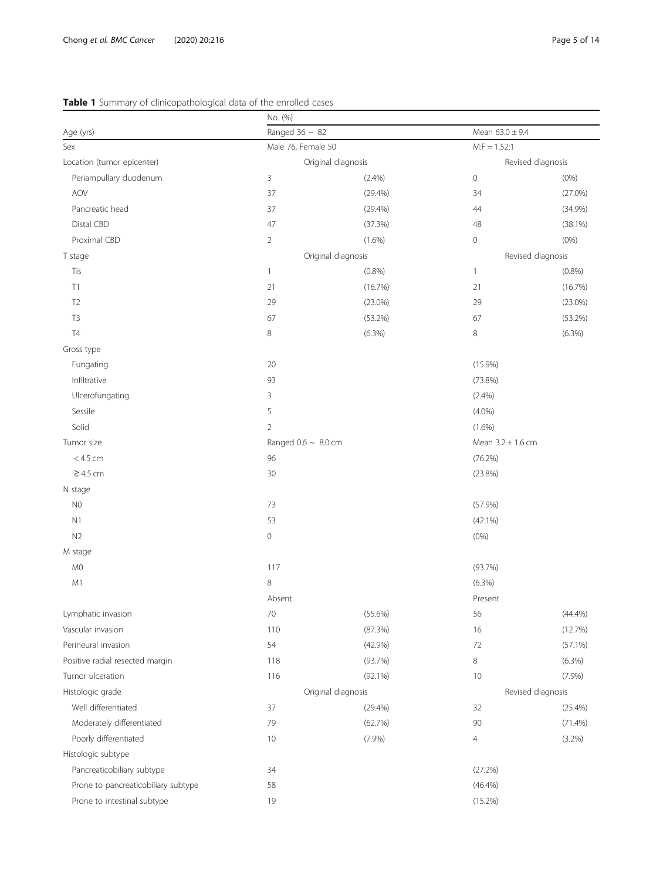# <span id="page-4-0"></span>Table 1 Summary of clinicopathological data of the enrolled cases

|                                     | No. (%)                  |                    |                       |                   |  |
|-------------------------------------|--------------------------|--------------------|-----------------------|-------------------|--|
| Age (yrs)                           | Ranged $36 \sim 82$      |                    | Mean $63.0 \pm 9.4$   |                   |  |
| Sex                                 | Male 76, Female 50       |                    | $M: F = 1.52:1$       |                   |  |
| Location (tumor epicenter)          |                          | Original diagnosis |                       | Revised diagnosis |  |
| Periampullary duodenum              | 3                        | (2.4%)             | $\mathsf{O}\xspace$   | $(0\%)$           |  |
| AOV                                 | 37                       | (29.4%)            | 34                    | (27.0%)           |  |
| Pancreatic head                     | 37                       | (29.4%)            | 44                    | $(34.9\%)$        |  |
| Distal CBD                          | 47                       | (37.3%)            | 48                    | $(38.1\%)$        |  |
| Proximal CBD                        | $\overline{2}$           | $(1.6\%)$          | $\mathbf 0$           | (0% )             |  |
| T stage                             |                          | Original diagnosis |                       | Revised diagnosis |  |
| Tis                                 | $\mathbf{1}$             | (0.8%)             | $\mathbf{1}$          | (0.8%)            |  |
| T1                                  | 21                       | (16.7%)            | 21                    | (16.7%)           |  |
| T <sub>2</sub>                      | 29                       | $(23.0\%)$         | 29                    | $(23.0\%)$        |  |
| T <sub>3</sub>                      | 67                       | (53.2%)            | 67                    | (53.2%)           |  |
| <b>T4</b>                           | 8                        | (6.3%)             | 8                     | (6.3%)            |  |
| Gross type                          |                          |                    |                       |                   |  |
| Fungating                           | 20                       |                    | $(15.9\%)$            |                   |  |
| Infiltrative                        | 93                       |                    | $(73.8\%)$            |                   |  |
| Ulcerofungating                     | 3                        |                    | (2.4%)                |                   |  |
| Sessile                             | 5                        |                    | $(4.0\%)$             |                   |  |
| Solid                               | $\overline{2}$           |                    | $(1.6\%)$             |                   |  |
| Tumor size                          | Ranged $0.6 \sim 8.0$ cm |                    | Mean $3.2 \pm 1.6$ cm |                   |  |
| $< 4.5$ cm                          | 96                       |                    | (76.2%)               |                   |  |
| $\geq$ 4.5 cm                       | 30                       |                    | (23.8%)               |                   |  |
| N stage                             |                          |                    |                       |                   |  |
| $_{\rm NO}$                         | 73                       |                    | (57.9%)               |                   |  |
| N1                                  | 53                       |                    | $(42.1\%)$            |                   |  |
| N <sub>2</sub>                      | $\mathbf 0$              |                    | (0% )                 |                   |  |
| M stage                             |                          |                    |                       |                   |  |
| M <sub>0</sub>                      | 117                      |                    | (93.7%)               |                   |  |
| M1                                  | $\,8\,$                  |                    | $(6.3\%)$             |                   |  |
|                                     | Absent                   |                    | Present               |                   |  |
| Lymphatic invasion                  | 70                       | $(55.6\%)$         | 56                    | (44.4%)           |  |
| Vascular invasion                   | 110                      | (87.3%)            | 16                    | (12.7%)           |  |
| Perineural invasion                 | 54                       | $(42.9\%)$         | $72\,$                | $(57.1\%)$        |  |
| Positive radial resected margin     | 118                      | (93.7%)            | 8                     | (6.3%)            |  |
| Tumor ulceration                    | 116                      | $(92.1\%)$         | 10                    | $(7.9\%)$         |  |
| Histologic grade                    | Original diagnosis       |                    |                       | Revised diagnosis |  |
| Well differentiated                 | 37                       | $(29.4\%)$         | 32                    | $(25.4\%)$        |  |
| Moderately differentiated           | 79                       | (62.7%)            | 90                    | (71.4%)           |  |
| Poorly differentiated               | 10                       | (7.9%)             | $\overline{4}$        | (3.2%)            |  |
| Histologic subtype                  |                          |                    |                       |                   |  |
| Pancreaticobiliary subtype          | 34                       |                    | (27.2%)               |                   |  |
| Prone to pancreaticobiliary subtype | 58                       |                    | $(46.4\%)$            |                   |  |
| Prone to intestinal subtype         | 19                       |                    | (15.2%)               |                   |  |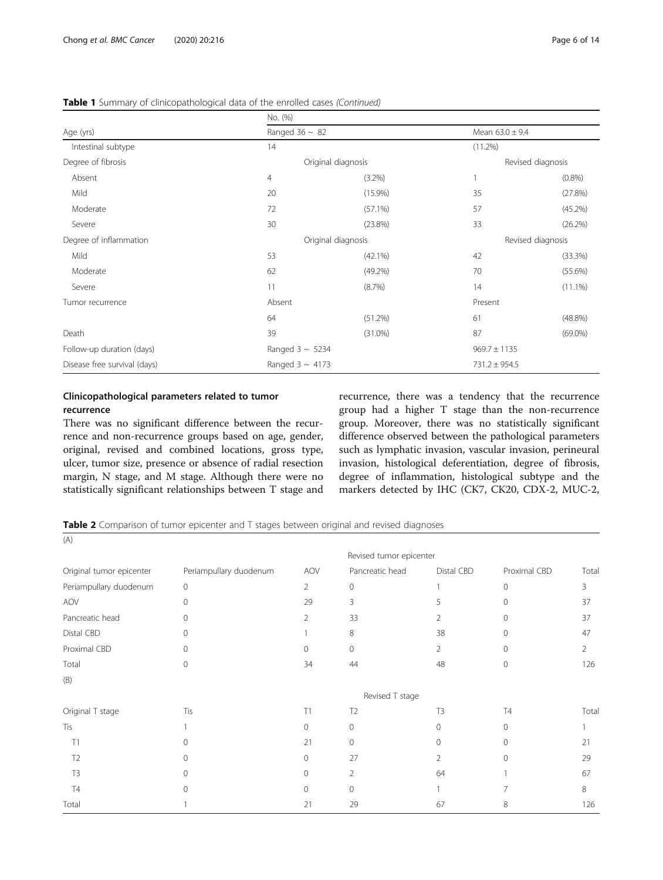# <span id="page-5-0"></span>Table 1 Summary of clinicopathological data of the enrolled cases (Continued)

|                              | No. (%)              |                    |                   |                     |  |  |
|------------------------------|----------------------|--------------------|-------------------|---------------------|--|--|
| Age (yrs)                    | Ranged $36 \sim 82$  |                    |                   | Mean $63.0 \pm 9.4$ |  |  |
| Intestinal subtype           | 14                   |                    | (11.2%)           |                     |  |  |
| Degree of fibrosis           |                      | Original diagnosis |                   | Revised diagnosis   |  |  |
| Absent                       | 4                    | $(3.2\%)$          |                   | $(0.8\%)$           |  |  |
| Mild                         | 20                   | $(15.9\%)$         | 35                | (27.8%)             |  |  |
| Moderate                     | 72                   | $(57.1\%)$         | 57                | (45.2%)             |  |  |
| Severe                       | 30                   | (23.8%)            | 33                | (26.2%)             |  |  |
| Degree of inflammation       |                      | Original diagnosis |                   | Revised diagnosis   |  |  |
| Mild                         | 53                   | $(42.1\%)$         | 42                | (33.3%)             |  |  |
| Moderate                     | 62                   | $(49.2\%)$         | 70                | (55.6%)             |  |  |
| Severe                       | 11                   | (8.7%)             | 14                | $(11.1\%)$          |  |  |
| Tumor recurrence             | Absent               |                    | Present           |                     |  |  |
|                              | 64                   | (51.2%)            | 61                | (48.8%)             |  |  |
| Death                        | 39                   | $(31.0\%)$         | 87                | $(69.0\%)$          |  |  |
| Follow-up duration (days)    | Ranged $3 \sim 5234$ |                    | $969.7 \pm 1135$  |                     |  |  |
| Disease free survival (days) | Ranged $3 \sim 4173$ |                    | $731.2 \pm 954.5$ |                     |  |  |

# Clinicopathological parameters related to tumor recurrence

There was no significant difference between the recurrence and non-recurrence groups based on age, gender, original, revised and combined locations, gross type, ulcer, tumor size, presence or absence of radial resection margin, N stage, and M stage. Although there were no statistically significant relationships between T stage and recurrence, there was a tendency that the recurrence group had a higher T stage than the non-recurrence group. Moreover, there was no statistically significant difference observed between the pathological parameters such as lymphatic invasion, vascular invasion, perineural invasion, histological deferentiation, degree of fibrosis, degree of inflammation, histological subtype and the markers detected by IHC (CK7, CK20, CDX-2, MUC-2,

Table 2 Comparison of tumor epicenter and T stages between original and revised diagnoses

| (A)                      |                         |                |                 |                |              |       |  |
|--------------------------|-------------------------|----------------|-----------------|----------------|--------------|-------|--|
|                          | Revised tumor epicenter |                |                 |                |              |       |  |
| Original tumor epicenter | Periampullary duodenum  | AOV            | Pancreatic head | Distal CBD     | Proximal CBD | Total |  |
| Periampullary duodenum   | 0                       | $\overline{2}$ | $\mathbf 0$     |                | $\mathbf{0}$ | 3     |  |
| AOV                      | $\Omega$                | 29             | 3               | 5              | $\Omega$     | 37    |  |
| Pancreatic head          | $\Omega$                | 2              | 33              | $\overline{2}$ | $\Omega$     | 37    |  |
| Distal CBD               | 0                       |                | 8               | 38             | U            | 47    |  |
| Proximal CBD             | $\Omega$                | $\Omega$       | $\Omega$        | 2              | $\Omega$     | 2     |  |
| Total                    | $\circ$                 | 34             | 44              | 48             | $\mathbf{0}$ | 126   |  |
| (B)                      |                         |                |                 |                |              |       |  |
|                          |                         |                | Revised T stage |                |              |       |  |
| Original T stage         | Tis                     | T1             | T <sub>2</sub>  | T <sub>3</sub> | <b>T4</b>    | Total |  |
| Tis                      |                         | $\mathbf{0}$   | 0               | 0              | $\mathbf{0}$ |       |  |
| T1                       | $\Omega$                | 21             | $\mathbf{0}$    | $\mathbf{0}$   | $\mathbf{0}$ | 21    |  |
| T <sub>2</sub>           | $\Omega$                | $\circ$        | 27              | $\overline{2}$ | $\Omega$     | 29    |  |
| T <sub>3</sub>           | $\Omega$                | 0              | $\overline{2}$  | 64             |              | 67    |  |
| T <sub>4</sub>           | $\cap$                  | $\Omega$       | $\Omega$        |                |              | 8     |  |
| Total                    |                         | 21             | 29              | 67             | 8            | 126   |  |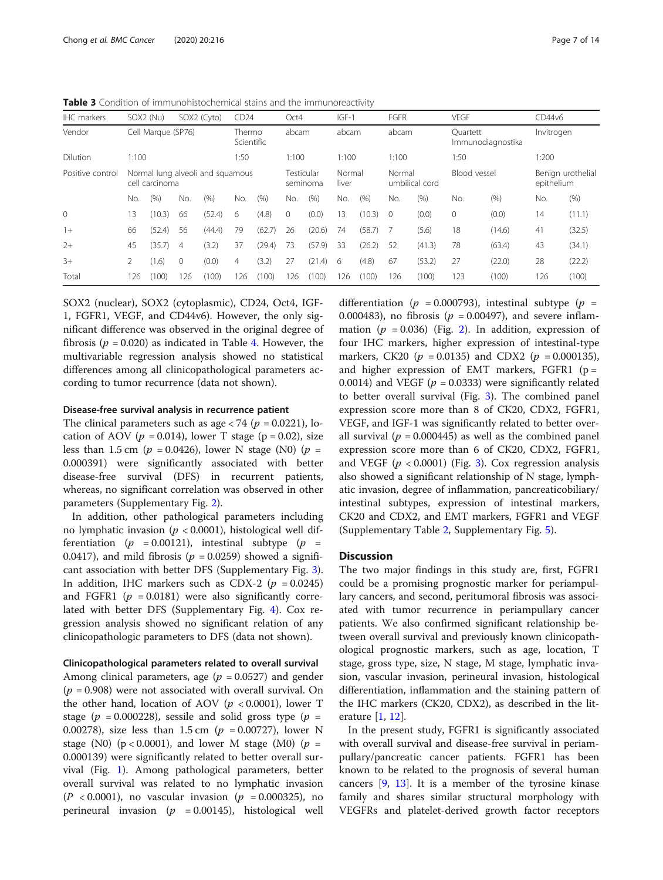<span id="page-6-0"></span>Table 3 Condition of immunohistochemical stains and the immunoreactivity

| <b>IHC</b> markers |       | SOX2 (Nu)          |                | SOX2 (Cyto)                      | CD24                 |        | Oct4                   |        | $IGF-1$         |        | <b>FGFR</b> |                | <b>VEGF</b>  |                   | CD44v6                          |        |
|--------------------|-------|--------------------|----------------|----------------------------------|----------------------|--------|------------------------|--------|-----------------|--------|-------------|----------------|--------------|-------------------|---------------------------------|--------|
| Vendor             |       | Cell Marque (SP76) |                |                                  | Thermo<br>Scientific |        | abcam                  |        | abcam           |        | abcam       |                | Ouartett     | Immunodiagnostika | Invitrogen                      |        |
| Dilution           | 1:100 |                    |                |                                  | 1:50                 |        | 1:100                  |        | 1:100           |        | 1:100       |                | 1:50         |                   | 1:200                           |        |
| Positive control   |       | cell carcinoma     |                | Normal lung alveoli and squamous |                      |        | Testicular<br>seminoma |        | Normal<br>liver |        | Normal      | umbilical cord | Blood vessel |                   | Benign urothelial<br>epithelium |        |
|                    | No.   | (%)                | No.            | (% )                             | No.                  | (% )   | No.                    | (9/6)  | No.             | (% )   | No.         | (%)            | No.          | (%)               | No.                             | (% )   |
| $\Omega$           | 13    | (10.3)             | 66             | (52.4)                           | 6                    | (4.8)  | $\mathbf{0}$           | (0.0)  | 13              | (10.3) | $\Omega$    | (0.0)          | $\mathbf{0}$ | (0.0)             | 14                              | (11.1) |
| $1+$               | 66    | (52.4)             | 56             | (44.4)                           | 79                   | (62.7) | 26                     | (20.6) | 74              | (58.7) |             | (5.6)          | 18           | (14.6)            | 41                              | (32.5) |
| $2+$               | 45    | (35.7)             | $\overline{4}$ | (3.2)                            | 37                   | (29.4) | 73                     | (57.9) | 33              | (26.2) | 52          | (41.3)         | 78           | (63.4)            | 43                              | (34.1) |
| $3+$               | 2     | (1.6)              | $\mathbf{0}$   | (0.0)                            | $\overline{4}$       | (3.2)  | 27                     | (21.4) | 6               | (4.8)  | 67          | (53.2)         | 27           | (22.0)            | 28                              | (22.2) |
| Total              | 26    | (100)              | 26             | (100)                            | 126                  | (100)  | 26                     | (100)  | 26              | (100)  | 126         | (100)          | 123          | (100)             | 126                             | (100)  |

SOX2 (nuclear), SOX2 (cytoplasmic), CD24, Oct4, IGF-1, FGFR1, VEGF, and CD44v6). However, the only significant difference was observed in the original degree of fibrosis ( $p = 0.020$ ) as indicated in Table [4.](#page-7-0) However, the multivariable regression analysis showed no statistical differences among all clinicopathological parameters according to tumor recurrence (data not shown).

# Disease-free survival analysis in recurrence patient

The clinical parameters such as age  $\langle 74 (p = 0.0221)$ , location of AOV ( $p = 0.014$ ), lower T stage ( $p = 0.02$ ), size less than 1.5 cm ( $p = 0.0426$ ), lower N stage (N0) ( $p =$ 0.000391) were significantly associated with better disease-free survival (DFS) in recurrent patients, whereas, no significant correlation was observed in other parameters (Supplementary Fig. [2\)](#page-12-0).

In addition, other pathological parameters including no lymphatic invasion ( $p < 0.0001$ ), histological well differentiation ( $p = 0.00121$ ), intestinal subtype ( $p =$ 0.0417), and mild fibrosis ( $p = 0.0259$ ) showed a significant association with better DFS (Supplementary Fig. [3](#page-12-0)). In addition, IHC markers such as CDX-2 ( $p = 0.0245$ ) and FGFR1 ( $p = 0.0181$ ) were also significantly correlated with better DFS (Supplementary Fig. [4\)](#page-12-0). Cox regression analysis showed no significant relation of any clinicopathologic parameters to DFS (data not shown).

# Clinicopathological parameters related to overall survival

Among clinical parameters, age ( $p = 0.0527$ ) and gender  $(p = 0.908)$  were not associated with overall survival. On the other hand, location of AOV ( $p < 0.0001$ ), lower T stage ( $p = 0.000228$ ), sessile and solid gross type ( $p =$ 0.00278), size less than 1.5 cm ( $p = 0.00727$ ), lower N stage (N0) ( $p < 0.0001$ ), and lower M stage (M0) ( $p =$ 0.000139) were significantly related to better overall survival (Fig. [1\)](#page-9-0). Among pathological parameters, better overall survival was related to no lymphatic invasion  $(P < 0.0001)$ , no vascular invasion  $(p = 0.000325)$ , no perineural invasion ( $p = 0.00145$ ), histological well

differentiation ( $p = 0.000793$ ), intestinal subtype ( $p =$ 0.000483), no fibrosis ( $p = 0.00497$ ), and severe inflammation ( $p = 0.036$ ) (Fig. [2](#page-10-0)). In addition, expression of four IHC markers, higher expression of intestinal-type markers, CK20 ( $p = 0.0135$ ) and CDX2 ( $p = 0.000135$ ), and higher expression of EMT markers, FGFR1 ( $p =$ 0.0014) and VEGF ( $p = 0.0333$ ) were significantly related to better overall survival (Fig. [3\)](#page-11-0). The combined panel expression score more than 8 of CK20, CDX2, FGFR1, VEGF, and IGF-1 was significantly related to better overall survival ( $p = 0.000445$ ) as well as the combined panel expression score more than 6 of CK20, CDX2, FGFR1, and VEGF  $(p < 0.0001)$  (Fig. [3](#page-11-0)). Cox regression analysis also showed a significant relationship of N stage, lymphatic invasion, degree of inflammation, pancreaticobiliary/ intestinal subtypes, expression of intestinal markers, CK20 and CDX2, and EMT markers, FGFR1 and VEGF (Supplementary Table [2](#page-12-0), Supplementary Fig. [5\)](#page-12-0).

# **Discussion**

The two major findings in this study are, first, FGFR1 could be a promising prognostic marker for periampullary cancers, and second, peritumoral fibrosis was associated with tumor recurrence in periampullary cancer patients. We also confirmed significant relationship between overall survival and previously known clinicopathological prognostic markers, such as age, location, T stage, gross type, size, N stage, M stage, lymphatic invasion, vascular invasion, perineural invasion, histological differentiation, inflammation and the staining pattern of the IHC markers (CK20, CDX2), as described in the literature [[1,](#page-13-0) [12\]](#page-13-0).

In the present study, FGFR1 is significantly associated with overall survival and disease-free survival in periampullary/pancreatic cancer patients. FGFR1 has been known to be related to the prognosis of several human cancers [\[9](#page-13-0), [13\]](#page-13-0). It is a member of the tyrosine kinase family and shares similar structural morphology with VEGFRs and platelet-derived growth factor receptors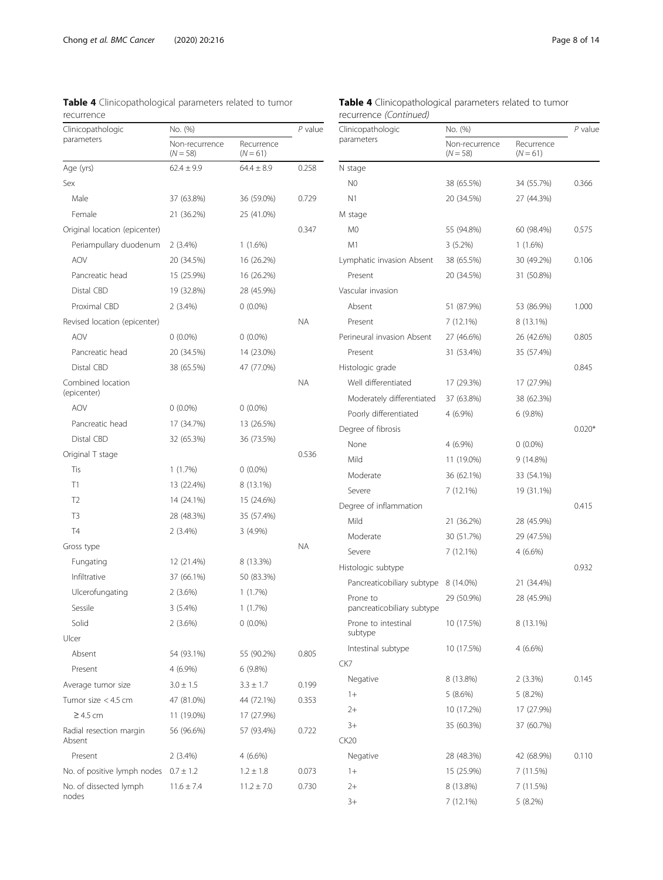<span id="page-7-0"></span>Table 4 Clinicopathological parameters related to tumor

| recurrence                        |                              |                          |           |
|-----------------------------------|------------------------------|--------------------------|-----------|
| Clinicopathologic                 | No. (%)                      | P value                  |           |
| parameters                        | Non-recurrence<br>$(N = 58)$ | Recurrence<br>$(N = 61)$ |           |
| Age (yrs)                         | $62.4 \pm 9.9$               | $64.4 \pm 8.9$           | 0.258     |
| Sex                               |                              |                          |           |
| Male                              | 37 (63.8%)                   | 36 (59.0%)               | 0.729     |
| Female                            | 21 (36.2%)                   | 25 (41.0%)               |           |
| Original location (epicenter)     |                              |                          | 0.347     |
| Periampullary duodenum            | $2(3.4\%)$                   | $1(1.6\%)$               |           |
| <b>AOV</b>                        | 20 (34.5%)                   | 16 (26.2%)               |           |
| Pancreatic head                   | 15 (25.9%)                   | 16 (26.2%)               |           |
| Distal CBD                        | 19 (32.8%)                   | 28 (45.9%)               |           |
| Proximal CBD                      | 2(3.4%)                      | $0(0.0\%)$               |           |
| Revised location (epicenter)      |                              |                          | ΝA        |
| <b>AOV</b>                        | $0(0.0\%)$                   | $0(0.0\%)$               |           |
| Pancreatic head                   | 20 (34.5%)                   | 14 (23.0%)               |           |
| Distal CBD                        | 38 (65.5%)                   | 47 (77.0%)               |           |
| Combined location<br>(epicenter)  |                              |                          | ΝA        |
| <b>AOV</b>                        | $0(0.0\%)$                   | $0(0.0\%)$               |           |
| Pancreatic head                   | 17 (34.7%)                   | 13 (26.5%)               |           |
| Distal CBD                        | 32 (65.3%)                   | 36 (73.5%)               |           |
| Original T stage                  |                              |                          | 0.536     |
| Tis                               | 1(1.7%)                      | $0(0.0\%)$               |           |
| Τ1                                | 13 (22.4%)                   | 8 (13.1%)                |           |
| T2                                | 14 (24.1%)                   | 15 (24.6%)               |           |
| T3                                | 28 (48.3%)                   | 35 (57.4%)               |           |
| T4                                | 2(3.4%)                      | $3(4.9\%)$               |           |
| Gross type                        |                              |                          | <b>NA</b> |
| Fungating                         | 12 (21.4%)                   | 8 (13.3%)                |           |
| Infiltrative                      | 37 (66.1%)                   | 50 (83.3%)               |           |
| Ulcerofungating                   | 2(3.6%)                      | 1(1.7%)                  |           |
| Sessile                           | $3(5.4\%)$                   | $1(1.7\%)$               |           |
| Solid                             | 2(3.6%)                      | $0(0.0\%)$               |           |
| Ulcer                             |                              |                          |           |
| Absent                            | 54 (93.1%)                   | 55 (90.2%)               | 0.805     |
| Present                           | 4 (6.9%)                     | 6(9.8%)                  |           |
| Average tumor size                | $3.0 \pm 1.5$                | $3.3 \pm 1.7$            | 0.199     |
| Tumor size < 4.5 cm               | 47 (81.0%)                   | 44 (72.1%)               | 0.353     |
| $\geq$ 4.5 cm                     | 11 (19.0%)                   | 17 (27.9%)               |           |
| Radial resection margin<br>Absent | 56 (96.6%)                   | 57 (93.4%)               | 0.722     |
| Present                           | $2(3.4\%)$                   | $4(6.6\%)$               |           |
| No. of positive lymph nodes       | $0.7 \pm 1.2$                | $1.2 \pm 1.8$            | 0.073     |
| No. of dissected lymph<br>nodes   | $11.6 \pm 7.4$               | $11.2 \pm 7.0$           | 0.730     |

| Table 4 Clinicopathological parameters related to tumor |  |  |
|---------------------------------------------------------|--|--|
| recurrence (Continued)                                  |  |  |

| Clinicopathologic                      | No. (%)                      | P value                  |          |
|----------------------------------------|------------------------------|--------------------------|----------|
| parameters                             | Non-recurrence<br>$(N = 58)$ | Recurrence<br>$(N = 61)$ |          |
| N stage                                |                              |                          |          |
| N <sub>0</sub>                         | 38 (65.5%)                   | 34 (55.7%)               | 0.366    |
| N <sub>1</sub>                         | 20 (34.5%)                   | 27 (44.3%)               |          |
| M stage                                |                              |                          |          |
| M0                                     | 55 (94.8%)                   | 60 (98.4%)               | 0.575    |
| M1                                     | 3(5.2%)                      | $1(1.6\%)$               |          |
| Lymphatic invasion Absent              | 38 (65.5%)                   | 30 (49.2%)               | 0.106    |
| Present                                | 20 (34.5%)                   | 31 (50.8%)               |          |
| Vascular invasion                      |                              |                          |          |
| Absent                                 | 51 (87.9%)                   | 53 (86.9%)               | 1.000    |
| Present                                | 7 (12.1%)                    | 8 (13.1%)                |          |
| Perineural invasion Absent             | 27 (46.6%)                   | 26 (42.6%)               | 0.805    |
| Present                                | 31 (53.4%)                   | 35 (57.4%)               |          |
| Histologic grade                       |                              |                          | 0.845    |
| Well differentiated                    | 17 (29.3%)                   | 17 (27.9%)               |          |
| Moderately differentiated              | 37 (63.8%)                   | 38 (62.3%)               |          |
| Poorly differentiated                  | 4 (6.9%)                     | 6 (9.8%)                 |          |
| Degree of fibrosis                     |                              |                          | $0.020*$ |
| None                                   | 4 (6.9%)                     | $0(0.0\%)$               |          |
| Mild                                   | 11 (19.0%)                   | 9 (14.8%)                |          |
| Moderate                               | 36 (62.1%)                   | 33 (54.1%)               |          |
| Severe                                 | 7 (12.1%)                    | 19 (31.1%)               |          |
| Degree of inflammation                 |                              |                          | 0.415    |
| Mild                                   | 21 (36.2%)                   | 28 (45.9%)               |          |
| Moderate                               | 30 (51.7%)                   | 29 (47.5%)               |          |
| Severe                                 | 7 (12.1%)                    | 4 (6.6%)                 |          |
| Histologic subtype                     |                              |                          | 0.932    |
| Pancreaticobiliary subtype             | 8 (14.0%)                    | 21 (34.4%)               |          |
| Prone to<br>pancreaticobiliary subtype | 29 (50.9%)                   | 28 (45.9%)               |          |
| Prone to intestinal<br>subtype         | 10 (17.5%)                   | 8 (13.1%)                |          |
| Intestinal subtype                     | 10 (17.5%)                   | 4 (6.6%)                 |          |
| CK7                                    |                              |                          |          |
| Negative                               | 8 (13.8%)                    | $2(3.3\%)$               | 0.145    |
| $1+$                                   | 5(8.6%)                      | 5(8.2%)                  |          |
| $2+$                                   | 10 (17.2%)                   | 17 (27.9%)               |          |
| $3+$                                   | 35 (60.3%)                   | 37 (60.7%)               |          |
| CK20                                   |                              |                          |          |
| Negative                               | 28 (48.3%)                   | 42 (68.9%)               | 0.110    |
| $1+$                                   | 15 (25.9%)                   | 7 (11.5%)                |          |
| $2+$                                   | 8 (13.8%)                    | 7 (11.5%)                |          |
| $3+$                                   | 7 (12.1%)                    | 5 (8.2%)                 |          |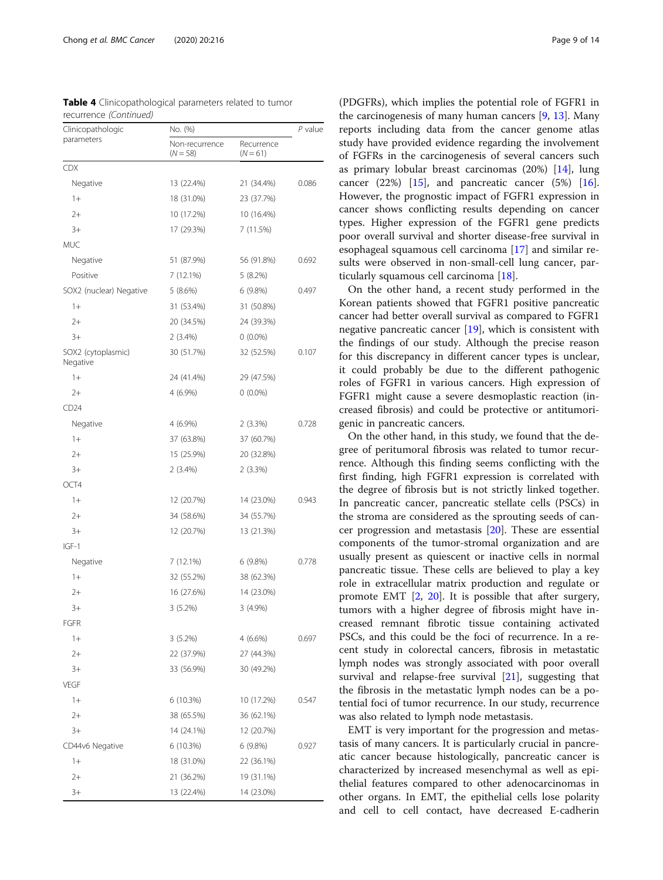| Clinicopathologic              | No. (%)                      | P value                  |       |  |
|--------------------------------|------------------------------|--------------------------|-------|--|
| parameters                     | Non-recurrence<br>$(N = 58)$ | Recurrence<br>$(N = 61)$ |       |  |
| <b>CDX</b>                     |                              |                          |       |  |
| Negative                       | 13 (22.4%)                   | 21 (34.4%)               | 0.086 |  |
| $1+$                           | 18 (31.0%)                   | 23 (37.7%)               |       |  |
| $2+$                           | 10 (17.2%)                   | 10 (16.4%)               |       |  |
| $3+$                           | 17 (29.3%)                   | 7 (11.5%)                |       |  |
| <b>MUC</b>                     |                              |                          |       |  |
| Negative                       | 51 (87.9%)                   | 56 (91.8%)               | 0.692 |  |
| Positive                       | 7(12.1%)                     | $5(8.2\%)$               |       |  |
| SOX2 (nuclear) Negative        | 5(8.6%)                      | 6(9.8%)                  | 0.497 |  |
| $1+$                           | 31 (53.4%)                   | 31 (50.8%)               |       |  |
| $2+$                           | 20 (34.5%)                   | 24 (39.3%)               |       |  |
| $3+$                           | 2(3.4%)                      | $0(0.0\%)$               |       |  |
| SOX2 (cytoplasmic)<br>Negative | 30 (51.7%)                   | 32 (52.5%)               | 0.107 |  |
| $1+$                           | 24 (41.4%)                   | 29 (47.5%)               |       |  |
| $2+$                           | 4 (6.9%)                     | $0(0.0\%)$               |       |  |
| CD24                           |                              |                          |       |  |
| Negative                       | 4 (6.9%)                     | 2(3.3%)                  | 0.728 |  |
| $1+$                           | 37 (63.8%)                   | 37 (60.7%)               |       |  |
| $2+$                           | 15 (25.9%)                   | 20 (32.8%)               |       |  |
| $3+$                           | $2(3.4\%)$                   | 2(3.3%)                  |       |  |
| OCT4                           |                              |                          |       |  |
| $1+$                           | 12 (20.7%)                   | 14 (23.0%)               | 0.943 |  |
| $2+$                           | 34 (58.6%)                   | 34 (55.7%)               |       |  |
| $3+$                           | 12 (20.7%)                   | 13 (21.3%)               |       |  |
| $IGF-1$                        |                              |                          |       |  |
| Negative                       | 7(12.1%)                     | 6(9.8%)                  | 0.778 |  |
| $1+$                           | 32 (55.2%)                   | 38 (62.3%)               |       |  |
| $2+$                           | 16 (27.6%)                   | 14 (23.0%)               |       |  |
| $3+$                           | 3(5.2%)                      | $3(4.9\%)$               |       |  |
| FGFR                           |                              |                          |       |  |
| $1+$                           | 3(5.2%)                      | 4 (6.6%)                 | 0.697 |  |
| $2+$                           | 22 (37.9%)                   | 27 (44.3%)               |       |  |
| $3+$                           | 33 (56.9%)                   | 30 (49.2%)               |       |  |
| <b>VEGF</b>                    |                              |                          |       |  |
| $1+$                           | 6 (10.3%)                    | 10 (17.2%)               | 0.547 |  |
| $2+$                           | 38 (65.5%)                   | 36 (62.1%)               |       |  |
| $3+$                           | 14 (24.1%)                   | 12 (20.7%)               |       |  |
| CD44v6 Negative                | 6 (10.3%)                    | 6(9.8%)                  | 0.927 |  |
| $1+$                           | 18 (31.0%)                   | 22 (36.1%)               |       |  |
| $2+$                           | 21 (36.2%)                   | 19 (31.1%)               |       |  |
| $3+$                           | 13 (22.4%)                   | 14 (23.0%)               |       |  |

Table 4 Clinicopathological parameters related to tumor recurrence (Continued)

(PDGFRs), which implies the potential role of FGFR1 in the carcinogenesis of many human cancers [\[9](#page-13-0), [13\]](#page-13-0). Many reports including data from the cancer genome atlas study have provided evidence regarding the involvement of FGFRs in the carcinogenesis of several cancers such as primary lobular breast carcinomas (20%) [\[14](#page-13-0)], lung cancer  $(22%)$  [[15](#page-13-0)], and pancreatic cancer  $(5%)$  [\[16](#page-13-0)]. However, the prognostic impact of FGFR1 expression in cancer shows conflicting results depending on cancer types. Higher expression of the FGFR1 gene predicts poor overall survival and shorter disease-free survival in esophageal squamous cell carcinoma [[17\]](#page-13-0) and similar results were observed in non-small-cell lung cancer, particularly squamous cell carcinoma [\[18](#page-13-0)].

On the other hand, a recent study performed in the Korean patients showed that FGFR1 positive pancreatic cancer had better overall survival as compared to FGFR1 negative pancreatic cancer [\[19](#page-13-0)], which is consistent with the findings of our study. Although the precise reason for this discrepancy in different cancer types is unclear, it could probably be due to the different pathogenic roles of FGFR1 in various cancers. High expression of FGFR1 might cause a severe desmoplastic reaction (increased fibrosis) and could be protective or antitumorigenic in pancreatic cancers.

On the other hand, in this study, we found that the degree of peritumoral fibrosis was related to tumor recurrence. Although this finding seems conflicting with the first finding, high FGFR1 expression is correlated with the degree of fibrosis but is not strictly linked together. In pancreatic cancer, pancreatic stellate cells (PSCs) in the stroma are considered as the sprouting seeds of cancer progression and metastasis [\[20](#page-13-0)]. These are essential components of the tumor-stromal organization and are usually present as quiescent or inactive cells in normal pancreatic tissue. These cells are believed to play a key role in extracellular matrix production and regulate or promote EMT [[2,](#page-13-0) [20](#page-13-0)]. It is possible that after surgery, tumors with a higher degree of fibrosis might have increased remnant fibrotic tissue containing activated PSCs, and this could be the foci of recurrence. In a recent study in colorectal cancers, fibrosis in metastatic lymph nodes was strongly associated with poor overall survival and relapse-free survival [\[21\]](#page-13-0), suggesting that the fibrosis in the metastatic lymph nodes can be a potential foci of tumor recurrence. In our study, recurrence was also related to lymph node metastasis.

EMT is very important for the progression and metastasis of many cancers. It is particularly crucial in pancreatic cancer because histologically, pancreatic cancer is characterized by increased mesenchymal as well as epithelial features compared to other adenocarcinomas in other organs. In EMT, the epithelial cells lose polarity and cell to cell contact, have decreased E-cadherin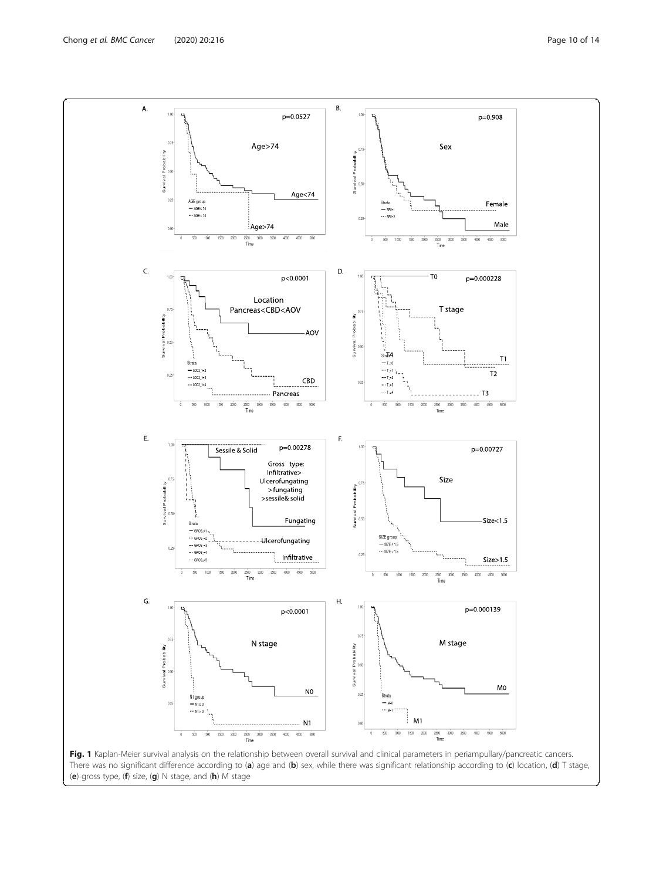<span id="page-9-0"></span>

(e) gross type, (f) size, (g) N stage, and (h) M stage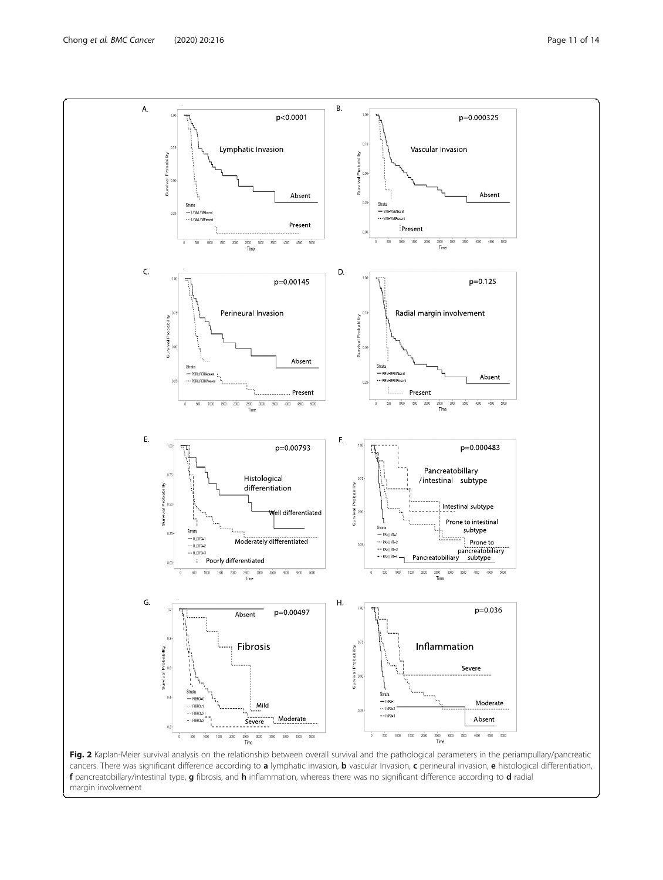<span id="page-10-0"></span>

cancers. There was significant difference according to a lymphatic invasion, b vascular Invasion, c perineural invasion, e histological differentiation, f pancreatobillary/intestinal type, g fibrosis, and h inflammation, whereas there was no significant difference according to d radial margin involvement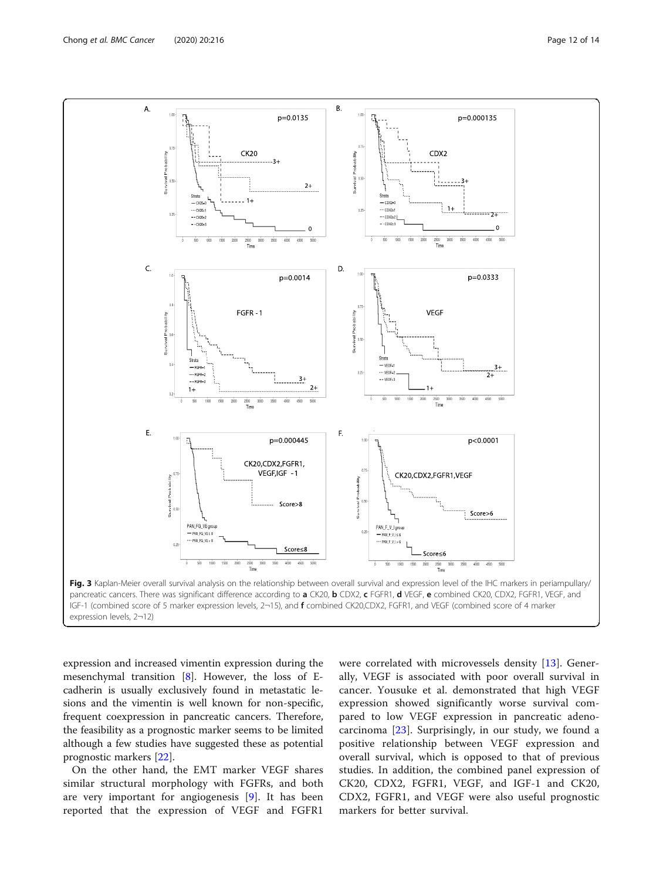<span id="page-11-0"></span>

expression and increased vimentin expression during the mesenchymal transition [[8](#page-13-0)]. However, the loss of Ecadherin is usually exclusively found in metastatic lesions and the vimentin is well known for non-specific, frequent coexpression in pancreatic cancers. Therefore, the feasibility as a prognostic marker seems to be limited although a few studies have suggested these as potential prognostic markers [[22\]](#page-13-0).

On the other hand, the EMT marker VEGF shares similar structural morphology with FGFRs, and both are very important for angiogenesis [[9\]](#page-13-0). It has been reported that the expression of VEGF and FGFR1 were correlated with microvessels density [[13\]](#page-13-0). Generally, VEGF is associated with poor overall survival in cancer. Yousuke et al. demonstrated that high VEGF expression showed significantly worse survival compared to low VEGF expression in pancreatic adenocarcinoma [\[23](#page-13-0)]. Surprisingly, in our study, we found a positive relationship between VEGF expression and overall survival, which is opposed to that of previous studies. In addition, the combined panel expression of CK20, CDX2, FGFR1, VEGF, and IGF-1 and CK20, CDX2, FGFR1, and VEGF were also useful prognostic markers for better survival.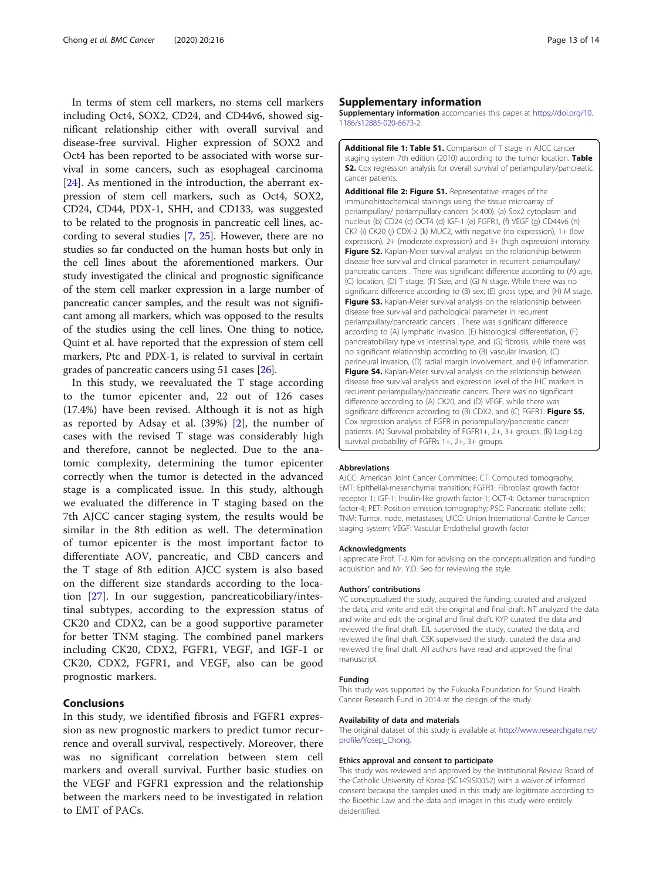<span id="page-12-0"></span>In terms of stem cell markers, no stems cell markers including Oct4, SOX2, CD24, and CD44v6, showed significant relationship either with overall survival and disease-free survival. Higher expression of SOX2 and Oct4 has been reported to be associated with worse survival in some cancers, such as esophageal carcinoma [[24\]](#page-13-0). As mentioned in the introduction, the aberrant expression of stem cell markers, such as Oct4, SOX2, CD24, CD44, PDX-1, SHH, and CD133, was suggested to be related to the prognosis in pancreatic cell lines, according to several studies [\[7](#page-13-0), [25\]](#page-13-0). However, there are no studies so far conducted on the human hosts but only in the cell lines about the aforementioned markers. Our study investigated the clinical and prognostic significance of the stem cell marker expression in a large number of pancreatic cancer samples, and the result was not significant among all markers, which was opposed to the results of the studies using the cell lines. One thing to notice, Quint et al. have reported that the expression of stem cell markers, Ptc and PDX-1, is related to survival in certain grades of pancreatic cancers using 51 cases [\[26\]](#page-13-0).

In this study, we reevaluated the T stage according to the tumor epicenter and, 22 out of 126 cases (17.4%) have been revised. Although it is not as high as reported by Adsay et al. (39%) [\[2](#page-13-0)], the number of cases with the revised T stage was considerably high and therefore, cannot be neglected. Due to the anatomic complexity, determining the tumor epicenter correctly when the tumor is detected in the advanced stage is a complicated issue. In this study, although we evaluated the difference in T staging based on the 7th AJCC cancer staging system, the results would be similar in the 8th edition as well. The determination of tumor epicenter is the most important factor to differentiate AOV, pancreatic, and CBD cancers and the T stage of 8th edition AJCC system is also based on the different size standards according to the location [\[27](#page-13-0)]. In our suggestion, pancreaticobiliary/intestinal subtypes, according to the expression status of CK20 and CDX2, can be a good supportive parameter for better TNM staging. The combined panel markers including CK20, CDX2, FGFR1, VEGF, and IGF-1 or CK20, CDX2, FGFR1, and VEGF, also can be good prognostic markers.

# Conclusions

In this study, we identified fibrosis and FGFR1 expression as new prognostic markers to predict tumor recurrence and overall survival, respectively. Moreover, there was no significant correlation between stem cell markers and overall survival. Further basic studies on the VEGF and FGFR1 expression and the relationship between the markers need to be investigated in relation to EMT of PACs.

# Supplementary information

Supplementary information accompanies this paper at [https://doi.org/10.](https://doi.org/10.1186/s12885-020-6673-2) [1186/s12885-020-6673-2.](https://doi.org/10.1186/s12885-020-6673-2)

Additional file 1: Table S1. Comparison of T stage in AJCC cancer staging system 7th edition (2010) according to the tumor location. Table S2. Cox regression analysis for overall survival of periampullary/pancreatic cancer patients.

Additional file 2: Figure S1. Representative images of the immunohistochemical stainings using the tissue microarray of periampullary/ periampullary cancers (× 400). (a) Sox2 cytoplasm and nucleus (b) CD24 (c) OCT4 (d) IGF-1 (e) FGFR1, (f) VEGF (g) CD44v6 (h) CK7 (i) CK20 (j) CDX-2 (k) MUC2, with negative (no expression), 1+ (low expression), 2+ (moderate expression) and 3+ (high expression) intensity. **Figure S2.** Kaplan-Meier survival analysis on the relationship between disease free survival and clinical parameter in recurrent periampullary/ pancreatic cancers . There was significant difference according to (A) age, (C) location, (D) T stage, (F) Size, and (G) N stage. While there was no significant difference according to (B) sex, (E) gross type, and (H) M stage. Figure S3. Kaplan-Meier survival analysis on the relationship between disease free survival and pathological parameter in recurrent periampullary/pancreatic cancers . There was significant difference according to (A) lymphatic invasion, (E) histological differentiation, (F) pancreatobillary type vs intestinal type, and (G) fibrosis, while there was no significant relationship according to (B) vascular Invasion, (C) perineural invasion, (D) radial margin involvement, and (H) inflammation. Figure S4. Kaplan-Meier survival analysis on the relationship between disease free survival analysis and expression level of the IHC markers in recurrent periampullary/pancreatic cancers. There was no significant difference according to (A) CK20, and (D) VEGF, while there was significant difference according to (B) CDX2, and (C) FGFR1. Figure S5. Cox regression analysis of FGFR in periampullary/pancreatic cancer patients. (A) Survival probability of FGFR1+, 2+, 3+ groups, (B) Log-Log survival probability of FGFRs 1+, 2+, 3+ groups.

## Abbreviations

AJCC: American Joint Cancer Committee; CT: Computed tomography; EMT: Epithelial-mesenchymal transition; FGFR1: Fibroblast growth factor receptor 1; IGF-1: Insulin-like growth factor-1; OCT-4: Octamer transcription factor-4; PET: Position emission tomography; PSC: Pancreatic stellate cells; TNM: Tumor, node, metastases; UICC: Union International Contre le Cancer staging system; VEGF: Vascular Endothelial growth factor

#### Acknowledgments

I appreciate Prof. T-J. Kim for advising on the conceptualization and funding acquisition and Mr. Y.D. Seo for reviewing the style.

#### Authors' contributions

YC conceptualized the study, acquired the funding, curated and analyzed the data, and write and edit the original and final draft. NT analyzed the data and write and edit the original and final draft. KYP curated the data and reviewed the final draft. EJL supervised the study, curated the data, and reviewed the final draft. CSK supervised the study, curated the data and reviewed the final draft. All authors have read and approved the final manuscript.

#### Funding

This study was supported by the Fukuoka Foundation for Sound Health Cancer Research Fund in 2014 at the design of the study.

#### Availability of data and materials

The original dataset of this study is available at [http://www.researchgate.net/](http://www.researchgate.net/profile/Yosep_Chong) [profile/Yosep\\_Chong](http://www.researchgate.net/profile/Yosep_Chong).

#### Ethics approval and consent to participate

This study was reviewed and approved by the Institutional Review Board of the Catholic University of Korea (SC14SISI0052) with a waiver of informed consent because the samples used in this study are legitimate according to the Bioethic Law and the data and images in this study were entirely deidentified.